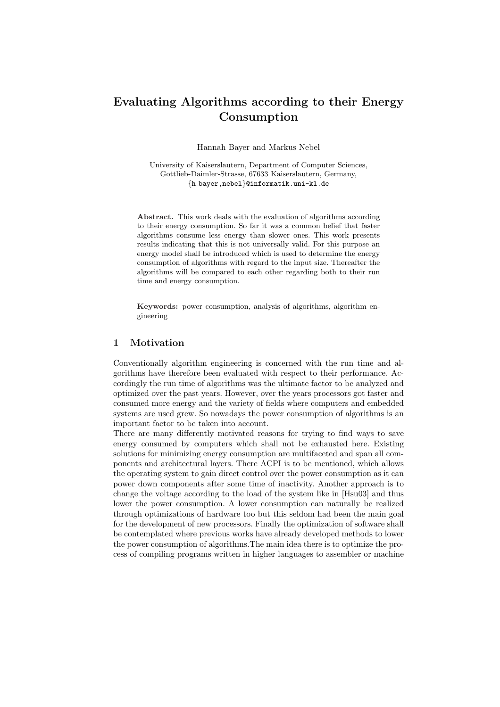## Evaluating Algorithms according to their Energy Consumption

Hannah Bayer and Markus Nebel

University of Kaiserslautern, Department of Computer Sciences, Gottlieb-Daimler-Strasse, 67633 Kaiserslautern, Germany, {h bayer,nebel}@informatik.uni-kl.de

Abstract. This work deals with the evaluation of algorithms according to their energy consumption. So far it was a common belief that faster algorithms consume less energy than slower ones. This work presents results indicating that this is not universally valid. For this purpose an energy model shall be introduced which is used to determine the energy consumption of algorithms with regard to the input size. Thereafter the algorithms will be compared to each other regarding both to their run time and energy consumption.

Keywords: power consumption, analysis of algorithms, algorithm engineering

### 1 Motivation

Conventionally algorithm engineering is concerned with the run time and algorithms have therefore been evaluated with respect to their performance. Accordingly the run time of algorithms was the ultimate factor to be analyzed and optimized over the past years. However, over the years processors got faster and consumed more energy and the variety of fields where computers and embedded systems are used grew. So nowadays the power consumption of algorithms is an important factor to be taken into account.

There are many differently motivated reasons for trying to find ways to save energy consumed by computers which shall not be exhausted here. Existing solutions for minimizing energy consumption are multifaceted and span all components and architectural layers. There ACPI is to be mentioned, which allows the operating system to gain direct control over the power consumption as it can power down components after some time of inactivity. Another approach is to change the voltage according to the load of the system like in [Hsu03] and thus lower the power consumption. A lower consumption can naturally be realized through optimizations of hardware too but this seldom had been the main goal for the development of new processors. Finally the optimization of software shall be contemplated where previous works have already developed methods to lower the power consumption of algorithms.The main idea there is to optimize the process of compiling programs written in higher languages to assembler or machine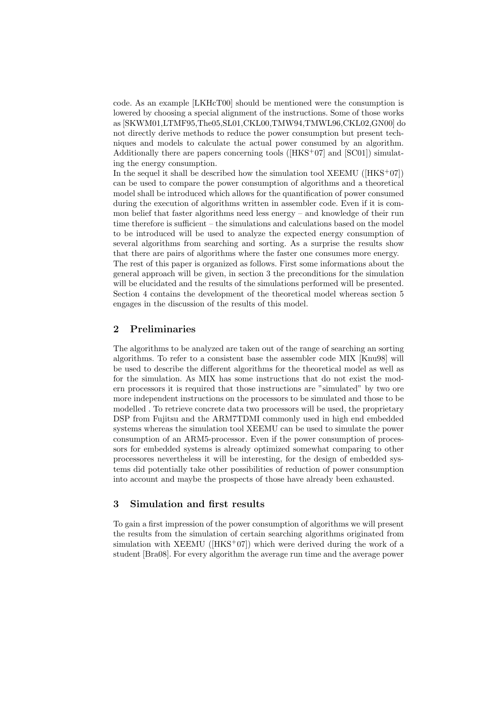code. As an example [LKHcT00] should be mentioned were the consumption is lowered by choosing a special alignment of the instructions. Some of those works as [SKWM01,LTMF95,The05,SL01,CKL00,TMW94,TMWL96,CKL02,GN00] do not directly derive methods to reduce the power consumption but present techniques and models to calculate the actual power consumed by an algorithm. Additionally there are papers concerning tools ( $[HKS<sup>+</sup>07]$  and  $[SC01]$ ) simulating the energy consumption.

In the sequel it shall be described how the simulation tool  $XEEMU$  ( $[HKS^+07]$ ) can be used to compare the power consumption of algorithms and a theoretical model shall be introduced which allows for the quantification of power consumed during the execution of algorithms written in assembler code. Even if it is common belief that faster algorithms need less energy – and knowledge of their run time therefore is sufficient – the simulations and calculations based on the model to be introduced will be used to analyze the expected energy consumption of several algorithms from searching and sorting. As a surprise the results show that there are pairs of algorithms where the faster one consumes more energy.

The rest of this paper is organized as follows. First some informations about the general approach will be given, in section 3 the preconditions for the simulation will be elucidated and the results of the simulations performed will be presented. Section 4 contains the development of the theoretical model whereas section 5 engages in the discussion of the results of this model.

## 2 Preliminaries

The algorithms to be analyzed are taken out of the range of searching an sorting algorithms. To refer to a consistent base the assembler code MIX [Knu98] will be used to describe the different algorithms for the theoretical model as well as for the simulation. As MIX has some instructions that do not exist the modern processors it is required that those instructions are "simulated" by two ore more independent instructions on the processors to be simulated and those to be modelled . To retrieve concrete data two processors will be used, the proprietary DSP from Fujitsu and the ARM7TDMI commonly used in high end embedded systems whereas the simulation tool XEEMU can be used to simulate the power consumption of an ARM5-processor. Even if the power consumption of processors for embedded systems is already optimized somewhat comparing to other processores nevertheless it will be interesting, for the design of embedded systems did potentially take other possibilities of reduction of power consumption into account and maybe the prospects of those have already been exhausted.

## 3 Simulation and first results

To gain a first impression of the power consumption of algorithms we will present the results from the simulation of certain searching algorithms originated from simulation with XEEMU ( $[HKS^+07]$ ) which were derived during the work of a student [Bra08]. For every algorithm the average run time and the average power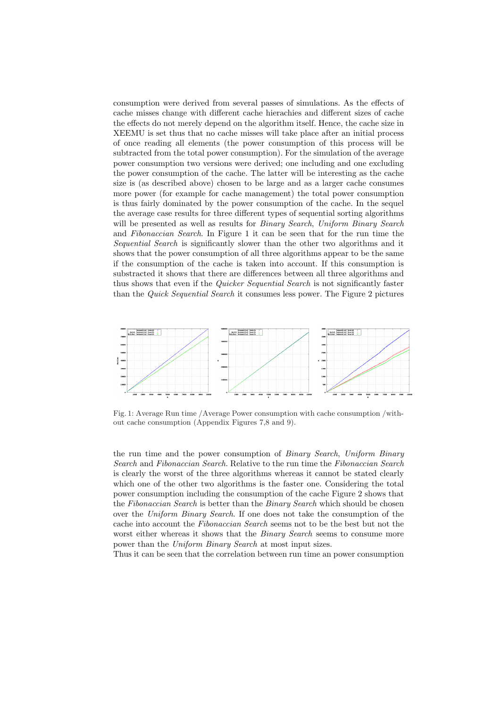consumption were derived from several passes of simulations. As the effects of cache misses change with different cache hierachies and different sizes of cache the effects do not merely depend on the algorithm itself. Hence, the cache size in XEEMU is set thus that no cache misses will take place after an initial process of once reading all elements (the power consumption of this process will be subtracted from the total power consumption). For the simulation of the average power consumption two versions were derived; one including and one excluding the power consumption of the cache. The latter will be interesting as the cache size is (as described above) chosen to be large and as a larger cache consumes more power (for example for cache management) the total power consumption is thus fairly dominated by the power consumption of the cache. In the sequel the average case results for three different types of sequential sorting algorithms will be presented as well as results for *Binary Search*, Uniform Binary Search and Fibonaccian Search. In Figure 1 it can be seen that for the run time the Sequential Search is significantly slower than the other two algorithms and it shows that the power consumption of all three algorithms appear to be the same if the consumption of the cache is taken into account. If this consumption is substracted it shows that there are differences between all three algorithms and thus shows that even if the *Quicker Sequential Search* is not significantly faster than the Quick Sequential Search it consumes less power. The Figure 2 pictures



Fig. 1: Average Run time /Average Power consumption with cache consumption /without cache consumption (Appendix Figures 7,8 and 9).

the run time and the power consumption of Binary Search, Uniform Binary Search and Fibonaccian Search. Relative to the run time the Fibonaccian Search is clearly the worst of the three algorithms whereas it cannot be stated clearly which one of the other two algorithms is the faster one. Considering the total power consumption including the consumption of the cache Figure 2 shows that the Fibonaccian Search is better than the Binary Search which should be chosen over the Uniform Binary Search. If one does not take the consumption of the cache into account the Fibonaccian Search seems not to be the best but not the worst either whereas it shows that the *Binary Search* seems to consume more power than the Uniform Binary Search at most input sizes.

Thus it can be seen that the correlation between run time an power consumption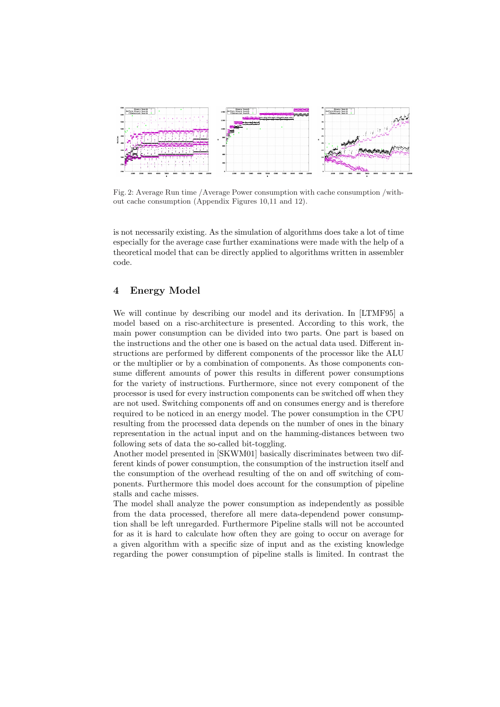

Fig. 2: Average Run time /Average Power consumption with cache consumption /without cache consumption (Appendix Figures 10,11 and 12).

is not necessarily existing. As the simulation of algorithms does take a lot of time especially for the average case further examinations were made with the help of a theoretical model that can be directly applied to algorithms written in assembler code.

## 4 Energy Model

We will continue by describing our model and its derivation. In [LTMF95] a model based on a risc-architecture is presented. According to this work, the main power consumption can be divided into two parts. One part is based on the instructions and the other one is based on the actual data used. Different instructions are performed by different components of the processor like the ALU or the multiplier or by a combination of components. As those components consume different amounts of power this results in different power consumptions for the variety of instructions. Furthermore, since not every component of the processor is used for every instruction components can be switched off when they are not used. Switching components off and on consumes energy and is therefore required to be noticed in an energy model. The power consumption in the CPU resulting from the processed data depends on the number of ones in the binary representation in the actual input and on the hamming-distances between two following sets of data the so-called bit-toggling.

Another model presented in [SKWM01] basically discriminates between two different kinds of power consumption, the consumption of the instruction itself and the consumption of the overhead resulting of the on and off switching of components. Furthermore this model does account for the consumption of pipeline stalls and cache misses.

The model shall analyze the power consumption as independently as possible from the data processed, therefore all mere data-dependend power consumption shall be left unregarded. Furthermore Pipeline stalls will not be accounted for as it is hard to calculate how often they are going to occur on average for a given algorithm with a specific size of input and as the existing knowledge regarding the power consumption of pipeline stalls is limited. In contrast the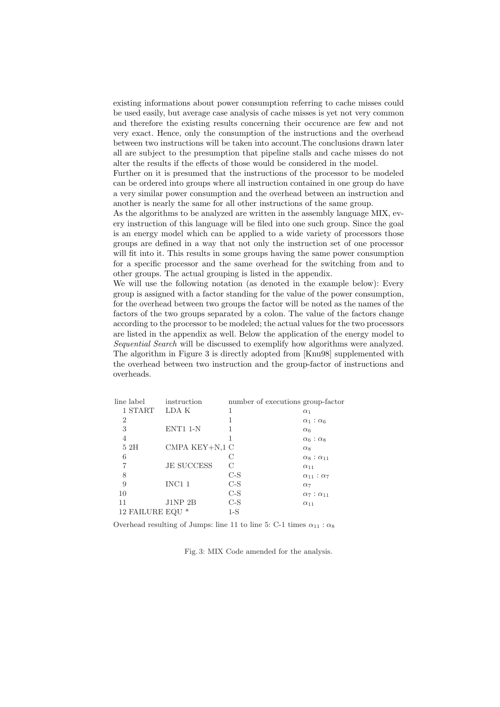existing informations about power consumption referring to cache misses could be used easily, but average case analysis of cache misses is yet not very common and therefore the existing results concerning their occurence are few and not very exact. Hence, only the consumption of the instructions and the overhead between two instructions will be taken into account.The conclusions drawn later all are subject to the presumption that pipeline stalls and cache misses do not alter the results if the effects of those would be considered in the model.

Further on it is presumed that the instructions of the processor to be modeled can be ordered into groups where all instruction contained in one group do have a very similar power consumption and the overhead between an instruction and another is nearly the same for all other instructions of the same group.

As the algorithms to be analyzed are written in the assembly language MIX, every instruction of this language will be filed into one such group. Since the goal is an energy model which can be applied to a wide variety of processors those groups are defined in a way that not only the instruction set of one processor will fit into it. This results in some groups having the same power consumption for a specific processor and the same overhead for the switching from and to other groups. The actual grouping is listed in the appendix.

We will use the following notation (as denoted in the example below): Every group is assigned with a factor standing for the value of the power consumption, for the overhead between two groups the factor will be noted as the names of the factors of the two groups separated by a colon. The value of the factors change according to the processor to be modeled; the actual values for the two processors are listed in the appendix as well. Below the application of the energy model to Sequential Search will be discussed to exemplify how algorithms were analyzed. The algorithm in Figure 3 is directly adopted from [Knu98] supplemented with the overhead between two instruction and the group-factor of instructions and overheads.

| line label     | instruction       |       | number of executions group-factor |
|----------------|-------------------|-------|-----------------------------------|
| 1 START        | LDA K             | 1     | $\alpha_1$                        |
| $\overline{2}$ |                   |       | $\alpha_1$ : $\alpha_6$           |
| 3              | ENT1 1-N          |       | $\alpha_6$                        |
| 4              |                   |       | $\alpha_6$ : $\alpha_8$           |
| 52H            | CMPA KEY+N,1 C    |       | $\alpha$ <sub>8</sub>             |
| 6              |                   | С     | $\alpha_8$ : $\alpha_{11}$        |
| 7              | <b>JE SUCCESS</b> | С     | $\alpha_{11}$                     |
| 8              |                   | $C-S$ | $\alpha_{11}$ : $\alpha_7$        |
| 9              | INC11             | $C-S$ | $\alpha$ <sub>7</sub>             |
| 10             |                   | $C-S$ | $\alpha_7$ : $\alpha_{11}$        |
| 11             | J1NP2B            | $C-S$ | $\alpha_{11}$                     |
| 12 FAILURE EQU | ∗                 | 1-S   |                                   |

Overhead resulting of Jumps: line 11 to line 5: C-1 times  $\alpha_{11}$  :  $\alpha_8$ 

Fig. 3: MIX Code amended for the analysis.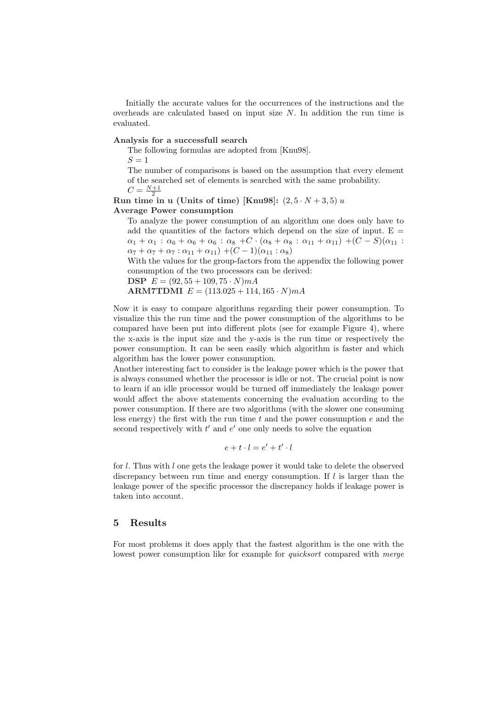Initially the accurate values for the occurrences of the instructions and the overheads are calculated based on input size  $N$ . In addition the run time is evaluated.

#### Analysis for a successfull search

The following formulas are adopted from [Knu98].

 $S = 1$ 

The number of comparisons is based on the assumption that every element of the searched set of elements is searched with the same probability.  $N+1$ 

$$
C = \frac{N+1}{2}
$$

Run time in u (Units of time) [Knu98]:  $(2,5\cdot N+3,5) u$ 

#### Average Power consumption

To analyze the power consumption of an algorithm one does only have to add the quantities of the factors which depend on the size of input.  $E =$  $\alpha_1 + \alpha_1 : \alpha_6 + \alpha_6 + \alpha_6 : \alpha_8 + C \cdot (\alpha_8 + \alpha_8 : \alpha_{11} + \alpha_{11}) + (C - S)(\alpha_{11} :$  $\alpha_7 + \alpha_7 + \alpha_7 : \alpha_{11} + \alpha_{11}) + (C - 1)(\alpha_{11} : \alpha_8)$ 

With the values for the group-factors from the appendix the following power consumption of the two processors can be derived:

**DSP**  $E = (92, 55 + 109, 75 \cdot N) mA$ 

ARM7TDMI  $E = (113.025 + 114.165 \cdot N) mA$ 

Now it is easy to compare algorithms regarding their power consumption. To visualize this the run time and the power consumption of the algorithms to be compared have been put into different plots (see for example Figure 4), where the x-axis is the input size and the y-axis is the run time or respectively the power consumption. It can be seen easily which algorithm is faster and which algorithm has the lower power consumption.

Another interesting fact to consider is the leakage power which is the power that is always consumed whether the processor is idle or not. The crucial point is now to learn if an idle processor would be turned off immediately the leakage power would affect the above statements concerning the evaluation according to the power consumption. If there are two algorithms (with the slower one consuming less energy) the first with the run time t and the power consumption  $e$  and the second respectively with  $t'$  and  $e'$  one only needs to solve the equation

$$
e + t \cdot l = e' + t' \cdot l
$$

for l. Thus with l one gets the leakage power it would take to delete the observed discrepancy between run time and energy consumption. If  $l$  is larger than the leakage power of the specific processor the discrepancy holds if leakage power is taken into account.

## 5 Results

For most problems it does apply that the fastest algorithm is the one with the lowest power consumption like for example for *quicksort* compared with *merge*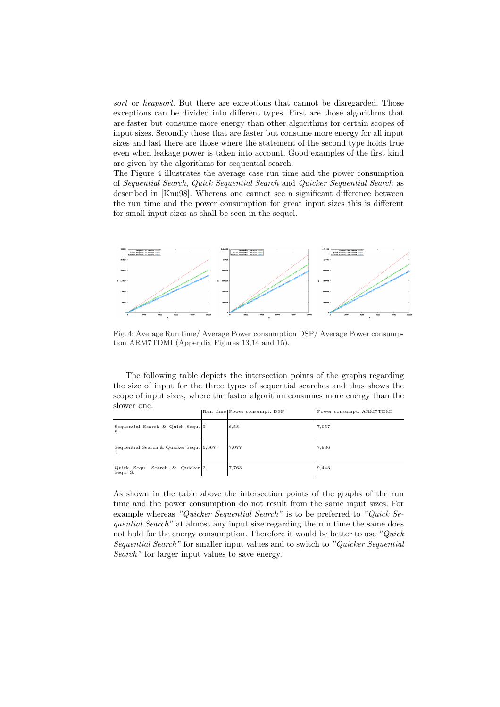sort or heapsort. But there are exceptions that cannot be disregarded. Those exceptions can be divided into different types. First are those algorithms that are faster but consume more energy than other algorithms for certain scopes of input sizes. Secondly those that are faster but consume more energy for all input sizes and last there are those where the statement of the second type holds true even when leakage power is taken into account. Good examples of the first kind are given by the algorithms for sequential search.

The Figure 4 illustrates the average case run time and the power consumption of Sequential Search, Quick Sequential Search and Quicker Sequential Search as described in [Knu98]. Whereas one cannot see a significant difference between the run time and the power consumption for great input sizes this is different for small input sizes as shall be seen in the sequel.



Fig. 4: Average Run time/ Average Power consumption DSP/ Average Power consumption ARM7TDMI (Appendix Figures 13,14 and 15).

The following table depicts the intersection points of the graphs regarding the size of input for the three types of sequential searches and thus shows the scope of input sizes, where the faster algorithm consumes more energy than the slower one.

|                                               | Run time Power consumpt. DSP | Power consumpt. ARM7TDMI |
|-----------------------------------------------|------------------------------|--------------------------|
| Sequential Search & Quick Sequ. 9<br>S.       | 6,58                         | 7,057                    |
| Sequential Search & Quicker Sequ. 6.667<br>S. | 7,077                        | 7,936                    |
| Quick Sequ. Search & Quicker 2<br>Sequ. S.    | 7,763                        | 9,443                    |

As shown in the table above the intersection points of the graphs of the run time and the power consumption do not result from the same input sizes. For example whereas "Quicker Sequential Search" is to be preferred to "Quick Sequential Search" at almost any input size regarding the run time the same does not hold for the energy consumption. Therefore it would be better to use "Quick Sequential Search" for smaller input values and to switch to "Quicker Sequential Search" for larger input values to save energy.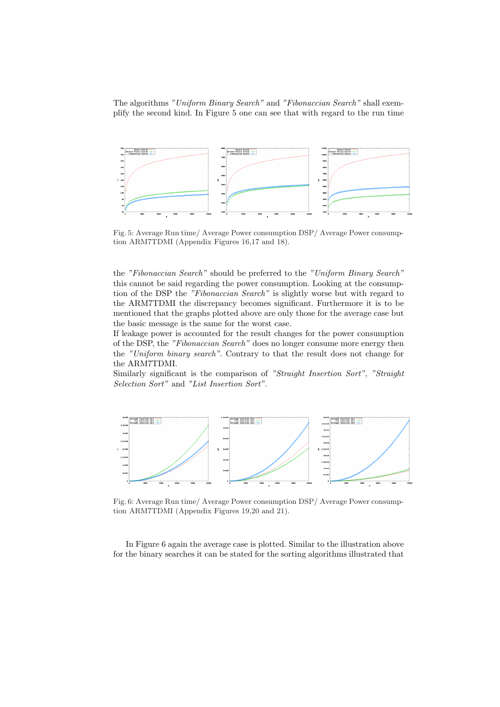The algorithms "Uniform Binary Search" and "Fibonaccian Search" shall exemplify the second kind. In Figure 5 one can see that with regard to the run time



Fig. 5: Average Run time/ Average Power consumption DSP/ Average Power consumption ARM7TDMI (Appendix Figures 16,17 and 18).

the "Fibonaccian Search" should be preferred to the "Uniform Binary Search" this cannot be said regarding the power consumption. Looking at the consumption of the DSP the "Fibonaccian Search" is slightly worse but with regard to the ARM7TDMI the discrepancy becomes significant. Furthermore it is to be mentioned that the graphs plotted above are only those for the average case but the basic message is the same for the worst case.

If leakage power is accounted for the result changes for the power consumption of the DSP, the "Fibonaccian Search" does no longer consume more energy then the "Uniform binary search". Contrary to that the result does not change for the ARM7TDMI.

Similarly significant is the comparison of "Straight Insertion Sort", "Straight Selection Sort" and "List Insertion Sort".



Fig. 6: Average Run time/ Average Power consumption DSP/ Average Power consumption ARM7TDMI (Appendix Figures 19,20 and 21).

In Figure 6 again the average case is plotted. Similar to the illustration above for the binary searches it can be stated for the sorting algorithms illustrated that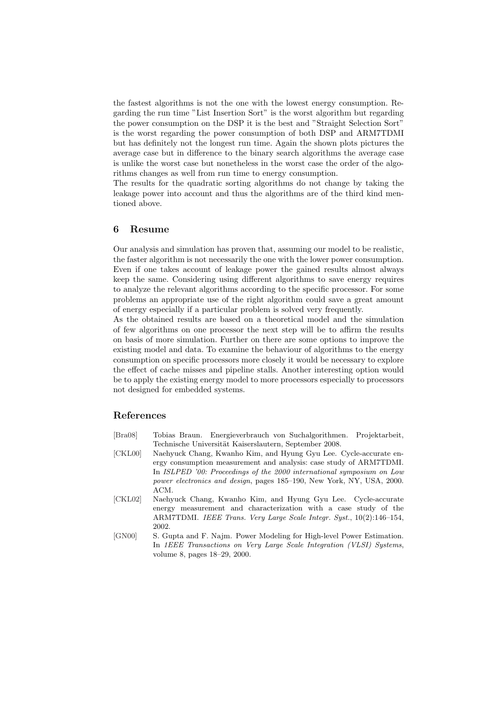the fastest algorithms is not the one with the lowest energy consumption. Regarding the run time "List Insertion Sort" is the worst algorithm but regarding the power consumption on the DSP it is the best and "Straight Selection Sort" is the worst regarding the power consumption of both DSP and ARM7TDMI but has definitely not the longest run time. Again the shown plots pictures the average case but in difference to the binary search algorithms the average case is unlike the worst case but nonetheless in the worst case the order of the algorithms changes as well from run time to energy consumption.

The results for the quadratic sorting algorithms do not change by taking the leakage power into account and thus the algorithms are of the third kind mentioned above.

## 6 Resume

Our analysis and simulation has proven that, assuming our model to be realistic, the faster algorithm is not necessarily the one with the lower power consumption. Even if one takes account of leakage power the gained results almost always keep the same. Considering using different algorithms to save energy requires to analyze the relevant algorithms according to the specific processor. For some problems an appropriate use of the right algorithm could save a great amount of energy especially if a particular problem is solved very frequently.

As the obtained results are based on a theoretical model and the simulation of few algorithms on one processor the next step will be to affirm the results on basis of more simulation. Further on there are some options to improve the existing model and data. To examine the behaviour of algorithms to the energy consumption on specific processors more closely it would be necessary to explore the effect of cache misses and pipeline stalls. Another interesting option would be to apply the existing energy model to more processors especially to processors not designed for embedded systems.

## References

- [Bra08] Tobias Braun. Energieverbrauch von Suchalgorithmen. Projektarbeit, Technische Universität Kaiserslautern, September 2008.
- [CKL00] Naehyuck Chang, Kwanho Kim, and Hyung Gyu Lee. Cycle-accurate energy consumption measurement and analysis: case study of ARM7TDMI. In ISLPED '00: Proceedings of the 2000 international symposium on Low power electronics and design, pages 185–190, New York, NY, USA, 2000. ACM.
- [CKL02] Naehyuck Chang, Kwanho Kim, and Hyung Gyu Lee. Cycle-accurate energy measurement and characterization with a case study of the ARM7TDMI. IEEE Trans. Very Large Scale Integr. Syst., 10(2):146–154, 2002.
- [GN00] S. Gupta and F. Najm. Power Modeling for High-level Power Estimation. In 1EEE Transactions on Very Large Scale Integration (VLSI) Systems, volume 8, pages 18–29, 2000.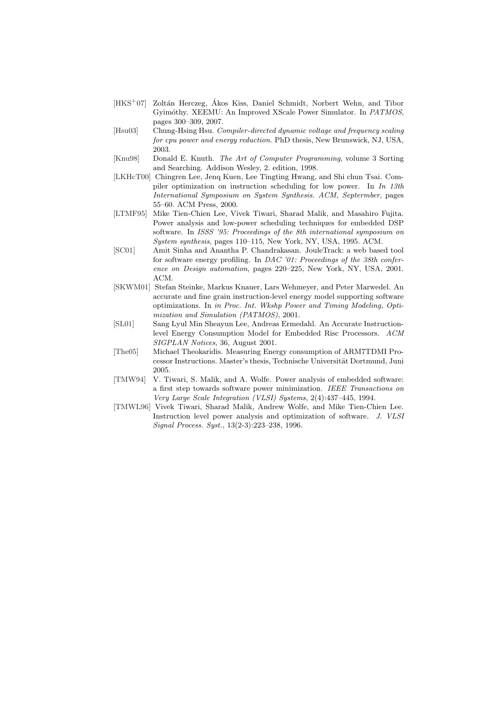- [HKS<sup>+</sup>07] Zoltán Herczeg, Ákos Kiss, Daniel Schmidt, Norbert Wehn, and Tibor Gyimóthy. XEEMU: An Improved XScale Power Simulator. In PATMOS, pages 300–309, 2007.
- [Hsu03] Chung-Hsing Hsu. Compiler-directed dynamic voltage and frequency scaling for cpu power and energy reduction. PhD thesis, New Brunswick, NJ, USA, 2003.
- [Knu98] Donald E. Knuth. The Art of Computer Programming, volume 3 Sorting and Searching. Addison Wesley, 2. edition, 1998.
- [LKHcT00] Chingren Lee, Jenq Kuen, Lee Tingting Hwang, and Shi chun Tsai. Compiler optimization on instruction scheduling for low power. In In 13th International Symposium on System Synthesis. ACM, Septermber, pages 55–60. ACM Press, 2000.
- [LTMF95] Mike Tien-Chien Lee, Vivek Tiwari, Sharad Malik, and Masahiro Fujita. Power analysis and low-power scheduling techniques for embedded DSP software. In ISSS '95: Proceedings of the 8th international symposium on System synthesis, pages 110–115, New York, NY, USA, 1995. ACM.
- [SC01] Amit Sinha and Anantha P. Chandrakasan. JouleTrack: a web based tool for software energy profiling. In DAC '01: Proceedings of the 38th conference on Design automation, pages 220–225, New York, NY, USA, 2001. ACM.
- [SKWM01] Stefan Steinke, Markus Knauer, Lars Wehmeyer, and Peter Marwedel. An accurate and fine grain instruction-level energy model supporting software optimizations. In in Proc. Int. Wkshp Power and Timing Modeling, Optimization and Simulation (PATMOS), 2001.
- [SL01] Sang Lyul Min Sheayun Lee, Andreas Ermedahl. An Accurate Instructionlevel Energy Consumption Model for Embedded Risc Processors. ACM SIGPLAN Notices, 36, August 2001.
- [The05] Michael Theokaridis. Measuring Energy consumption of ARM7TDMI Processor Instructions. Master's thesis, Technische Universität Dortmund, Juni 2005.
- [TMW94] V. Tiwari, S. Malik, and A. Wolfe. Power analysis of embedded software: a first step towards software power minimization. IEEE Transactions on Very Large Scale Integration (VLSI) Systems, 2(4):437–445, 1994.
- [TMWL96] Vivek Tiwari, Sharad Malik, Andrew Wolfe, and Mike Tien-Chien Lee. Instruction level power analysis and optimization of software. J. VLSI Signal Process. Syst., 13(2-3):223–238, 1996.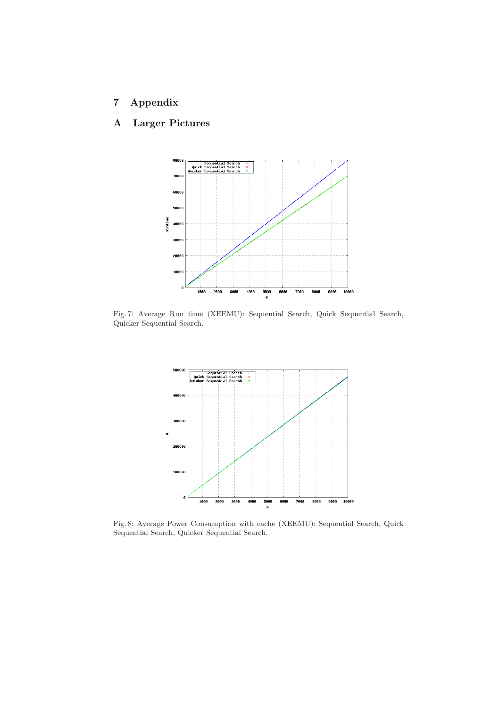## 7 Appendix

## A Larger Pictures



Fig. 7: Average Run time (XEEMU): Sequential Search, Quick Sequential Search, Quicker Sequential Search.



Fig. 8: Average Power Consumption with cache (XEEMU): Sequential Search, Quick Sequential Search, Quicker Sequential Search.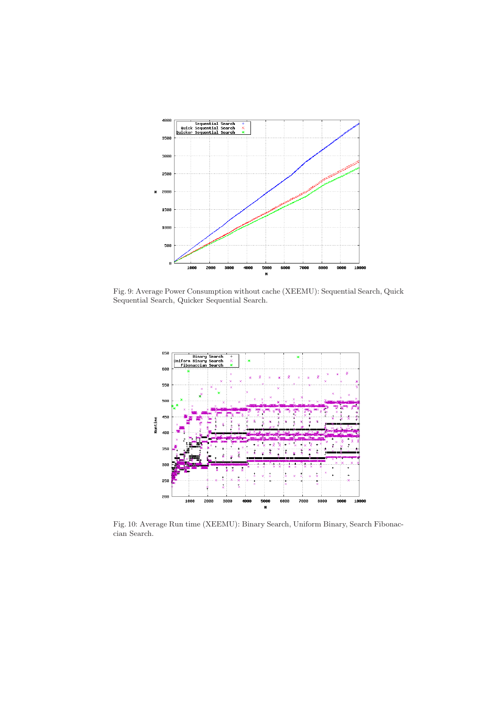

Fig. 9: Average Power Consumption without cache (XEEMU): Sequential Search, Quick Sequential Search, Quicker Sequential Search.



Fig. 10: Average Run time (XEEMU): Binary Search, Uniform Binary, Search Fibonaccian Search.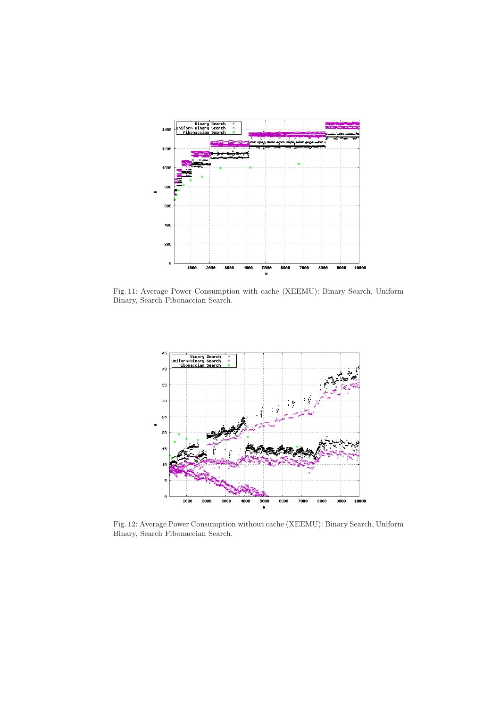

Fig. 11: Average Power Consumption with cache (XEEMU): Binary Search, Uniform Binary, Search Fibonaccian Search.



Fig. 12: Average Power Consumption without cache (XEEMU): Binary Search, Uniform Binary, Search Fibonaccian Search.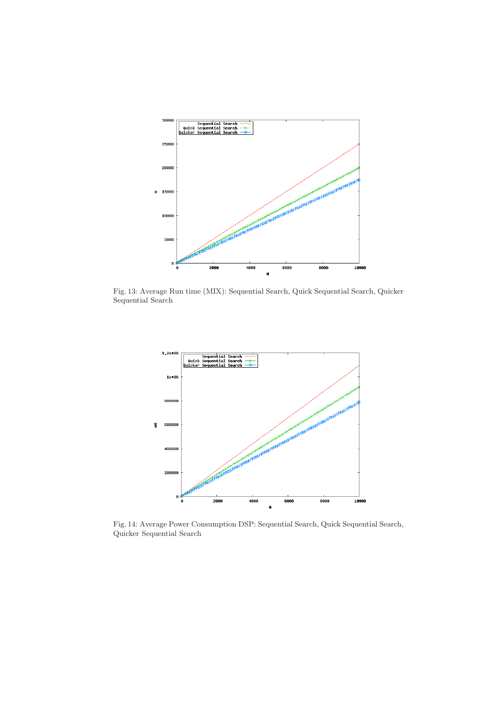

Fig. 13: Average Run time (MIX): Sequential Search, Quick Sequential Search, Quicker Sequential Search



Fig. 14: Average Power Consumption DSP: Sequential Search, Quick Sequential Search, Quicker Sequential Search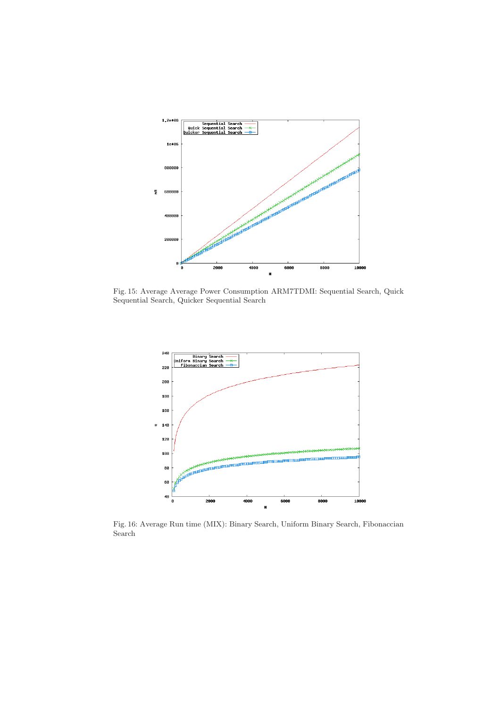

Fig. 15: Average Average Power Consumption ARM7TDMI: Sequential Search, Quick Sequential Search, Quicker Sequential Search



Fig. 16: Average Run time (MIX): Binary Search, Uniform Binary Search, Fibonaccian Search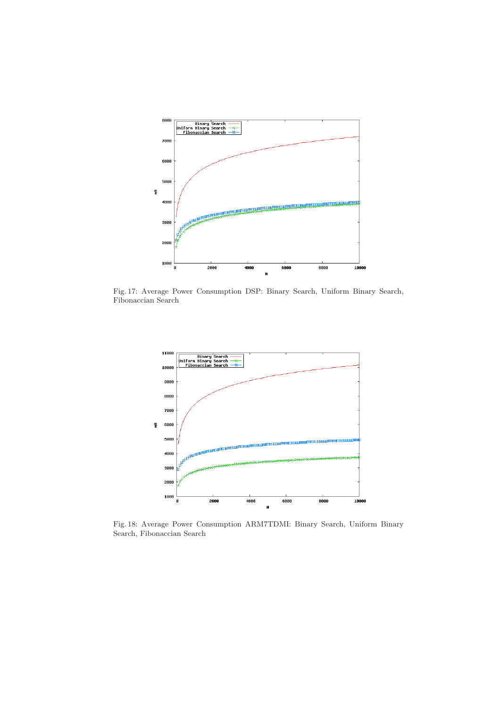

Fig. 17: Average Power Consumption DSP: Binary Search, Uniform Binary Search, Fibonaccian Search



Fig. 18: Average Power Consumption ARM7TDMI: Binary Search, Uniform Binary Search, Fibonaccian Search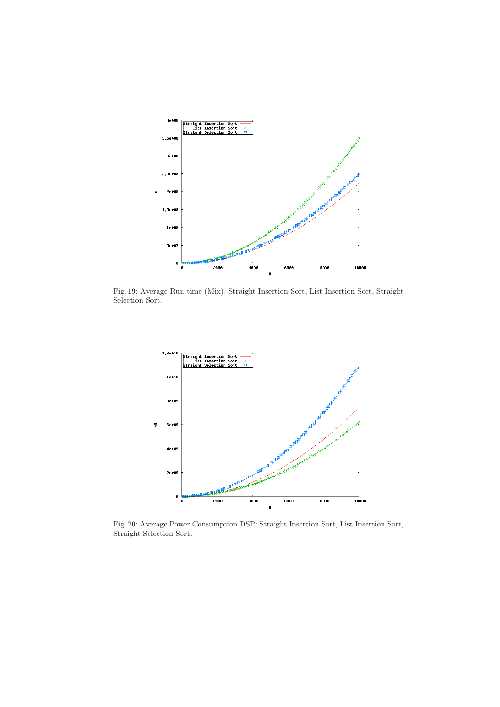

Fig. 19: Average Run time (Mix): Straight Insertion Sort, List Insertion Sort, Straight Selection Sort.



Fig. 20: Average Power Consumption DSP: Straight Insertion Sort, List Insertion Sort, Straight Selection Sort.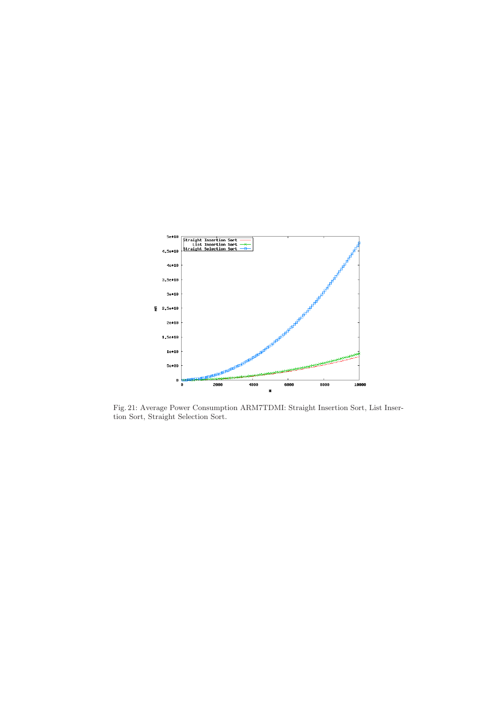

Fig. 21: Average Power Consumption ARM7TDMI: Straight Insertion Sort, List Insertion Sort, Straight Selection Sort.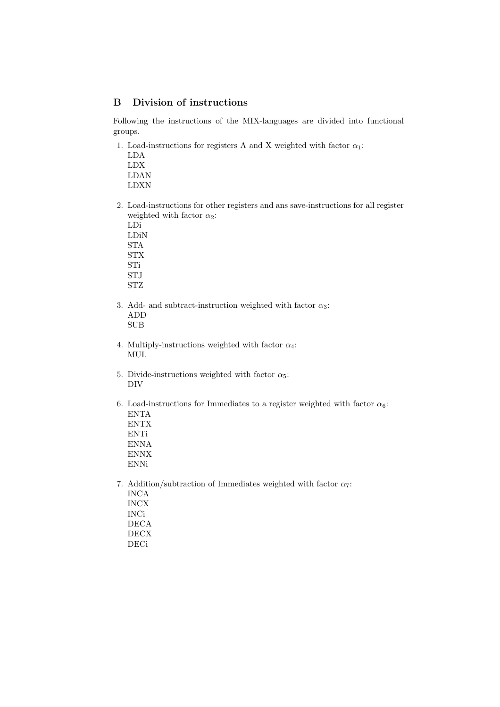## B Division of instructions

Following the instructions of the MIX-languages are divided into functional groups.

- 1. Load-instructions for registers A and X weighted with factor  $\alpha_1$ :
	- LDA LDX LDAN
	- LDXN
- 2. Load-instructions for other registers and ans save-instructions for all register weighted with factor  $\alpha_2$ :
	- LDi LDiN
	- STA STX
	- STi
	- STJ
	- STZ
- 3. Add- and subtract-instruction weighted with factor  $\alpha_3$ : ADD SUB
- 4. Multiply-instructions weighted with factor  $\alpha_4$ : MUL
- 5. Divide-instructions weighted with factor  $\alpha_5$ : DIV
- 6. Load-instructions for Immediates to a register weighted with factor  $\alpha_6$ : ENTA ENTX ENTi
	- ENNA ENNX ENNi
- 7. Addition/subtraction of Immediates weighted with factor  $\alpha_7$ : INCA INCX INCi DECA DECX DECi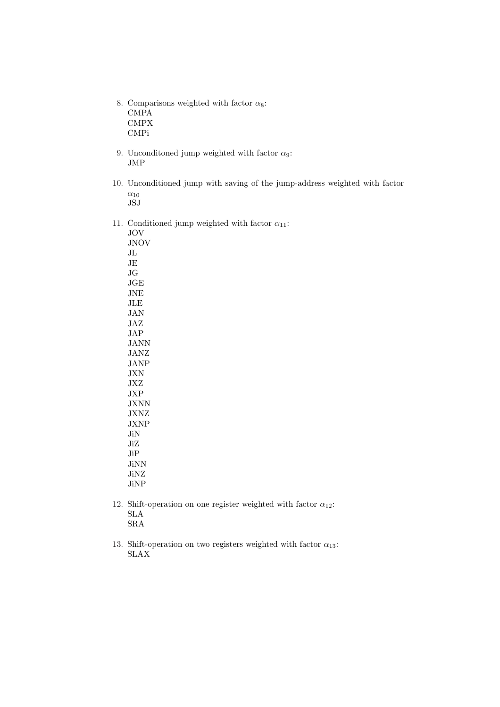- 8. Comparisons weighted with factor  $\alpha_8$ : CMPA CMPX CMPi
- 9. Unconditioned jump weighted with factor  $\alpha_9$ : JMP
- 10. Unconditioned jump with saving of the jump-address weighted with factor  $\alpha_{10}$ JSJ
- 11. Conditioned jump weighted with factor  $\alpha_{11}$ :

JOV JNOV JL JE JG JGE JNE JLE JAN JAZ JAP JANN JANZ JANP JXN JXZ JXP JXNN JXNZ JXNP JiN JiZ JiP JiNN JiNZ JiNP

- 12. Shift-operation on one register weighted with factor  $\alpha_{12}$ : SLA SRA
- 13. Shift-operation on two registers weighted with factor  $\alpha_{13}$ : SLAX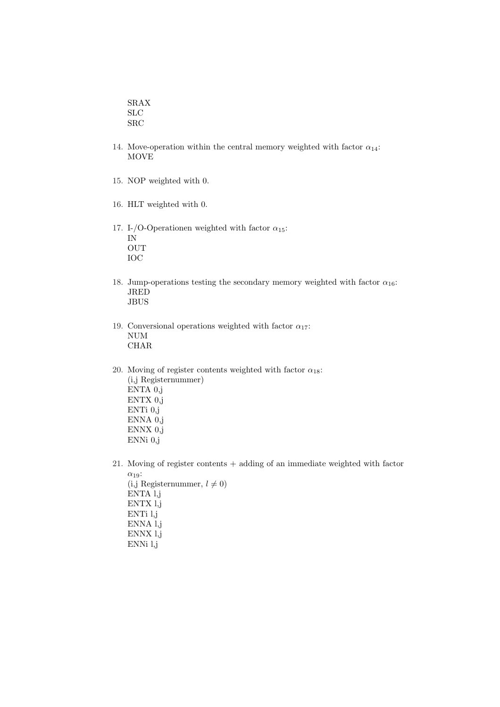SRAX SLC SRC

- 14. Move-operation within the central memory weighted with factor  $\alpha_{14}$ : MOVE
- 15. NOP weighted with 0.
- 16. HLT weighted with 0.
- 17. I-/O-Operationen weighted with factor  $\alpha_{15}$ : IN OUT IOC
- 18. Jump-operations testing the secondary memory weighted with factor  $\alpha_{16}$ : JRED JBUS
- 19. Conversional operations weighted with factor  $\alpha_{17}$ : NUM CHAR
- 20. Moving of register contents weighted with factor  $\alpha_{18}$ : (i,j Registernummer) ENTA 0,j ENTX 0,j ENTi 0,j ENNA 0,j ENNX 0,j ENNi 0,j
- 21. Moving of register contents + adding of an immediate weighted with factor  $\alpha_{19}$ : (i,j Registernummer,  $l \neq 0$ ) ENTA l,j ENTX l,j ENTi l,j ENNA l,j
	- ENNX l,j ENNi l,j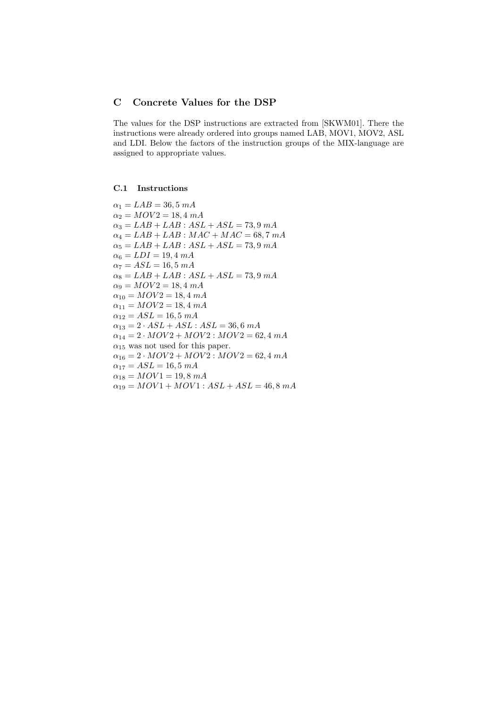## C Concrete Values for the DSP

The values for the DSP instructions are extracted from [SKWM01]. There the instructions were already ordered into groups named LAB, MOV1, MOV2, ASL and LDI. Below the factors of the instruction groups of the MIX-language are assigned to appropriate values.

### C.1 Instructions

 $\alpha_1 = LAB = 36, 5 \ mA$  $\alpha_2 = MOV2 = 18, 4 \, mA$  $\alpha_3 = LAB + LAB : ASL + ASL = 73,9 \; mA$  $\alpha_4 = LAB + LAB : MAC + MAC = 68, 7 mA$  $\alpha_5 = LAB + LAB : ASL + ASL = 73,9 \; mA$  $\alpha_6 = LDI = 19, 4 \; mA$  $\alpha_7 = ASL = 16, 5 \ mA$  $\alpha_8 = LAB + LAB : ASL + ASL = 73,9 \; mA$  $\alpha_9 = MOV2 = 18, 4 \, mA$  $\alpha_{10} = MOV2 = 18, 4 \, mA$  $\alpha_{11} = MOV2 = 18, 4, mA$  $\alpha_{12} = ASL = 16, 5$  mA  $\alpha_{13} = 2 \cdot ASL + ASL : ASL = 36, 6 \; mA$  $\alpha_{14} = 2 \cdot MOV2 + MOV2 : MOV2 = 62, 4, mA$  $\alpha_{15}$  was not used for this paper.  $\alpha_{16} = 2 \cdot MOV2 + MOV2 : MOV2 = 62, 4 mA$  $\alpha_{17} = ASL = 16, 5 \; mA$  $\alpha_{18} = MOV1 = 19, 8 \; mA$  $\alpha_{19} = MOV1 + MOV1 : ASL + ASL = 46, 8 mA$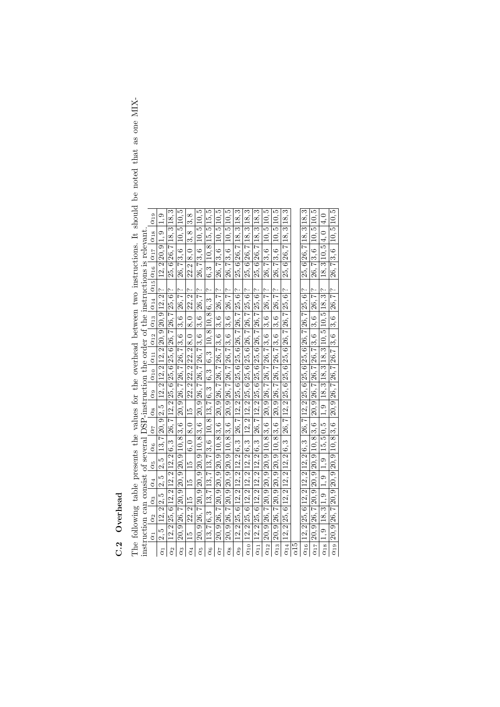## C.2 Overhead C.2 Overhead

The following table presents the values for the overhead between two instructions. It should be noted that as one MIX-The following table presents the values for the overhead between two instructions. It should be noted that as one MIX-

|                                                                                              | $\alpha_{19}$                                                                                     | $\frac{1}{1}$ .                                                                                                                                                                                              | S                                                                                        |                                                              | 3.8                    |                                                                                       |                                                                       |                                                                                            | IJ                                                                                  | S                                                                                                                                                                                                                              | S                                                                                                                                                                                                                              | S                                                                                     |                                                                                         | IJ                                                           | S                                                                                                                                                                                                                              | S                                                                                        |                                                                               |                                                                    |                                                                                                                        |
|----------------------------------------------------------------------------------------------|---------------------------------------------------------------------------------------------------|--------------------------------------------------------------------------------------------------------------------------------------------------------------------------------------------------------------|------------------------------------------------------------------------------------------|--------------------------------------------------------------|------------------------|---------------------------------------------------------------------------------------|-----------------------------------------------------------------------|--------------------------------------------------------------------------------------------|-------------------------------------------------------------------------------------|--------------------------------------------------------------------------------------------------------------------------------------------------------------------------------------------------------------------------------|--------------------------------------------------------------------------------------------------------------------------------------------------------------------------------------------------------------------------------|---------------------------------------------------------------------------------------|-----------------------------------------------------------------------------------------|--------------------------------------------------------------|--------------------------------------------------------------------------------------------------------------------------------------------------------------------------------------------------------------------------------|------------------------------------------------------------------------------------------|-------------------------------------------------------------------------------|--------------------------------------------------------------------|------------------------------------------------------------------------------------------------------------------------|
|                                                                                              |                                                                                                   |                                                                                                                                                                                                              | $25, 6$   $26, 7$   $18, 3$   $18$ .                                                     | 10, 5 10, 5                                                  |                        | $26, 7 3, 6$ 10, $5 10, 5$                                                            | $6, 3$   10, 8   15, 5   15, 5                                        | 10, 510, 5                                                                                 | 10.5 10.                                                                            | 318,                                                                                                                                                                                                                           | 25, 6 26, 7 18, 3 18,                                                                                                                                                                                                          | 3 18,                                                                                 | 10, 5 10, 5                                                                             | 10,5 10,                                                     | $25, 6$   $26, 7$   $18, 3$   $18$ ,                                                                                                                                                                                           | 25, 6 26, 7 18, 3 18,                                                                    | $26, 7 3, 6$ 10, $5 10, 5$                                                    | 18.3 10.5 4.0 4.0                                                  | $26, 7 3, 6$   10, $5 10, 5$                                                                                           |
|                                                                                              | $\alpha_{17}$ $\alpha_{18}$                                                                       |                                                                                                                                                                                                              |                                                                                          |                                                              |                        |                                                                                       |                                                                       |                                                                                            |                                                                                     |                                                                                                                                                                                                                                |                                                                                                                                                                                                                                |                                                                                       |                                                                                         |                                                              |                                                                                                                                                                                                                                |                                                                                          |                                                                               |                                                                    |                                                                                                                        |
|                                                                                              |                                                                                                   |                                                                                                                                                                                                              |                                                                                          |                                                              |                        |                                                                                       |                                                                       |                                                                                            |                                                                                     |                                                                                                                                                                                                                                |                                                                                                                                                                                                                                |                                                                                       |                                                                                         |                                                              |                                                                                                                                                                                                                                |                                                                                          |                                                                               |                                                                    |                                                                                                                        |
|                                                                                              |                                                                                                   | 12, 2 20, 9 1, 9                                                                                                                                                                                             |                                                                                          | 26,7 3,6                                                     | 22.2   8.0   3.8       |                                                                                       |                                                                       | 26,73,6                                                                                    | 26,73,6                                                                             | 25, 6 26, 7 18,                                                                                                                                                                                                                |                                                                                                                                                                                                                                | 25, 6 26, 7 18,                                                                       | 26,7 3,6                                                                                | 26,7 3,6                                                     |                                                                                                                                                                                                                                |                                                                                          |                                                                               |                                                                    |                                                                                                                        |
|                                                                                              |                                                                                                   |                                                                                                                                                                                                              |                                                                                          |                                                              |                        |                                                                                       |                                                                       |                                                                                            |                                                                                     |                                                                                                                                                                                                                                |                                                                                                                                                                                                                                |                                                                                       |                                                                                         |                                                              |                                                                                                                                                                                                                                |                                                                                          |                                                                               |                                                                    |                                                                                                                        |
|                                                                                              |                                                                                                   |                                                                                                                                                                                                              |                                                                                          | م،                                                           | ç.                     |                                                                                       | $\sim$                                                                |                                                                                            | ç.                                                                                  | ب                                                                                                                                                                                                                              |                                                                                                                                                                                                                                | $\sim$                                                                                |                                                                                         | ᠭ.                                                           | $\sim$                                                                                                                                                                                                                         |                                                                                          | Ļ.                                                                            | $\sim$                                                             |                                                                                                                        |
|                                                                                              | $ \alpha_{10}   \alpha_{11}   \alpha_{12}   \alpha_{13}   \alpha_{14}   \alpha_{15}  \alpha_{16}$ |                                                                                                                                                                                                              |                                                                                          | 26,7                                                         | 22.2                   |                                                                                       |                                                                       |                                                                                            |                                                                                     |                                                                                                                                                                                                                                |                                                                                                                                                                                                                                |                                                                                       |                                                                                         | 26, 7                                                        |                                                                                                                                                                                                                                |                                                                                          |                                                                               | $1, 9$   $18, 3$   $18, 3$   $18, 3$   $10, 5$   $10, 5$   $18, 3$ |                                                                                                                        |
|                                                                                              |                                                                                                   |                                                                                                                                                                                                              |                                                                                          | $\frac{3}{5}$ , 6                                            | $\overline{8}$ , 0     |                                                                                       |                                                                       |                                                                                            |                                                                                     |                                                                                                                                                                                                                                |                                                                                                                                                                                                                                |                                                                                       |                                                                                         | $\frac{3.6}{ }$                                              |                                                                                                                                                                                                                                |                                                                                          |                                                                               |                                                                    |                                                                                                                        |
|                                                                                              |                                                                                                   |                                                                                                                                                                                                              |                                                                                          |                                                              |                        |                                                                                       |                                                                       |                                                                                            |                                                                                     |                                                                                                                                                                                                                                |                                                                                                                                                                                                                                |                                                                                       |                                                                                         |                                                              |                                                                                                                                                                                                                                |                                                                                          |                                                                               |                                                                    |                                                                                                                        |
|                                                                                              |                                                                                                   |                                                                                                                                                                                                              |                                                                                          | 20, 9 26, 7 26, 7 26, 7 3, 6                                 | 22, 2 22, 2 22, 2 8, 0 |                                                                                       |                                                                       |                                                                                            |                                                                                     |                                                                                                                                                                                                                                |                                                                                                                                                                                                                                |                                                                                       |                                                                                         | $20, 9$ 26, $7$ 26, $7$ 26, $7$ 3, 6                         |                                                                                                                                                                                                                                |                                                                                          |                                                                               |                                                                    |                                                                                                                        |
|                                                                                              |                                                                                                   |                                                                                                                                                                                                              |                                                                                          |                                                              |                        |                                                                                       |                                                                       |                                                                                            |                                                                                     |                                                                                                                                                                                                                                |                                                                                                                                                                                                                                |                                                                                       |                                                                                         |                                                              |                                                                                                                                                                                                                                |                                                                                          |                                                                               |                                                                    |                                                                                                                        |
|                                                                                              |                                                                                                   |                                                                                                                                                                                                              |                                                                                          |                                                              |                        |                                                                                       |                                                                       |                                                                                            |                                                                                     |                                                                                                                                                                                                                                |                                                                                                                                                                                                                                |                                                                                       |                                                                                         |                                                              |                                                                                                                                                                                                                                |                                                                                          |                                                                               |                                                                    |                                                                                                                        |
|                                                                                              |                                                                                                   |                                                                                                                                                                                                              |                                                                                          |                                                              |                        |                                                                                       |                                                                       |                                                                                            |                                                                                     |                                                                                                                                                                                                                                |                                                                                                                                                                                                                                |                                                                                       |                                                                                         |                                                              |                                                                                                                                                                                                                                |                                                                                          |                                                                               |                                                                    |                                                                                                                        |
|                                                                                              |                                                                                                   |                                                                                                                                                                                                              |                                                                                          |                                                              |                        |                                                                                       |                                                                       |                                                                                            |                                                                                     |                                                                                                                                                                                                                                |                                                                                                                                                                                                                                |                                                                                       |                                                                                         |                                                              |                                                                                                                                                                                                                                |                                                                                          |                                                                               |                                                                    |                                                                                                                        |
|                                                                                              | $\alpha_9$                                                                                        |                                                                                                                                                                                                              |                                                                                          |                                                              |                        |                                                                                       |                                                                       |                                                                                            |                                                                                     |                                                                                                                                                                                                                                |                                                                                                                                                                                                                                |                                                                                       |                                                                                         |                                                              |                                                                                                                                                                                                                                |                                                                                          |                                                                               |                                                                    |                                                                                                                        |
|                                                                                              |                                                                                                   |                                                                                                                                                                                                              |                                                                                          |                                                              |                        |                                                                                       |                                                                       |                                                                                            |                                                                                     |                                                                                                                                                                                                                                |                                                                                                                                                                                                                                |                                                                                       |                                                                                         |                                                              |                                                                                                                                                                                                                                |                                                                                          |                                                                               |                                                                    |                                                                                                                        |
|                                                                                              | $\alpha_8$                                                                                        |                                                                                                                                                                                                              |                                                                                          |                                                              | $\frac{15}{1}$         |                                                                                       |                                                                       |                                                                                            |                                                                                     |                                                                                                                                                                                                                                |                                                                                                                                                                                                                                |                                                                                       |                                                                                         |                                                              |                                                                                                                                                                                                                                |                                                                                          |                                                                               |                                                                    |                                                                                                                        |
|                                                                                              | $\frac{2}{2}$                                                                                     |                                                                                                                                                                                                              |                                                                                          |                                                              | $\frac{8.0}{5}$        |                                                                                       |                                                                       |                                                                                            |                                                                                     |                                                                                                                                                                                                                                |                                                                                                                                                                                                                                |                                                                                       |                                                                                         |                                                              |                                                                                                                                                                                                                                |                                                                                          |                                                                               |                                                                    |                                                                                                                        |
|                                                                                              |                                                                                                   |                                                                                                                                                                                                              |                                                                                          |                                                              | $\overline{6.0}$       |                                                                                       |                                                                       |                                                                                            |                                                                                     |                                                                                                                                                                                                                                |                                                                                                                                                                                                                                |                                                                                       |                                                                                         |                                                              |                                                                                                                                                                                                                                |                                                                                          |                                                                               |                                                                    |                                                                                                                        |
|                                                                                              | $\frac{\alpha_6}{\alpha}$                                                                         |                                                                                                                                                                                                              |                                                                                          |                                                              |                        |                                                                                       |                                                                       |                                                                                            |                                                                                     |                                                                                                                                                                                                                                |                                                                                                                                                                                                                                |                                                                                       |                                                                                         |                                                              |                                                                                                                                                                                                                                |                                                                                          |                                                                               |                                                                    |                                                                                                                        |
|                                                                                              | $ \alpha_5 $                                                                                      |                                                                                                                                                                                                              |                                                                                          |                                                              | $\frac{15}{2}$         |                                                                                       |                                                                       |                                                                                            |                                                                                     |                                                                                                                                                                                                                                |                                                                                                                                                                                                                                |                                                                                       |                                                                                         |                                                              |                                                                                                                                                                                                                                |                                                                                          |                                                                               |                                                                    |                                                                                                                        |
|                                                                                              |                                                                                                   |                                                                                                                                                                                                              |                                                                                          |                                                              |                        |                                                                                       |                                                                       |                                                                                            |                                                                                     |                                                                                                                                                                                                                                |                                                                                                                                                                                                                                |                                                                                       |                                                                                         |                                                              |                                                                                                                                                                                                                                |                                                                                          |                                                                               |                                                                    |                                                                                                                        |
|                                                                                              | $ \alpha_4 $                                                                                      |                                                                                                                                                                                                              |                                                                                          |                                                              | $\frac{15}{1}$         |                                                                                       |                                                                       |                                                                                            |                                                                                     |                                                                                                                                                                                                                                |                                                                                                                                                                                                                                |                                                                                       |                                                                                         |                                                              |                                                                                                                                                                                                                                |                                                                                          |                                                                               |                                                                    |                                                                                                                        |
|                                                                                              | $\frac{\alpha_3}{\alpha}$                                                                         |                                                                                                                                                                                                              |                                                                                          |                                                              |                        |                                                                                       |                                                                       |                                                                                            |                                                                                     |                                                                                                                                                                                                                                |                                                                                                                                                                                                                                |                                                                                       |                                                                                         |                                                              |                                                                                                                                                                                                                                |                                                                                          |                                                                               | 18.3 1.9 1.9 1.9 1.9 15.5 0.5                                      |                                                                                                                        |
|                                                                                              |                                                                                                   |                                                                                                                                                                                                              |                                                                                          |                                                              | 22, 2 15               |                                                                                       |                                                                       |                                                                                            |                                                                                     |                                                                                                                                                                                                                                |                                                                                                                                                                                                                                |                                                                                       |                                                                                         |                                                              |                                                                                                                                                                                                                                |                                                                                          |                                                                               |                                                                    |                                                                                                                        |
|                                                                                              | $\alpha_2$                                                                                        |                                                                                                                                                                                                              |                                                                                          |                                                              |                        |                                                                                       |                                                                       |                                                                                            |                                                                                     |                                                                                                                                                                                                                                |                                                                                                                                                                                                                                |                                                                                       |                                                                                         |                                                              |                                                                                                                                                                                                                                |                                                                                          |                                                                               |                                                                    |                                                                                                                        |
|                                                                                              | $\alpha_1$                                                                                        | $\left 2, 5\right $ $\left 12, 2\right 2, 5\right $ $\left 2, 5\right $ $\left 2, 5\right $ $\left 13, 7\right 20, 9\right 2, 5\right $ $\left 12, 2\right 12, 2\left 20, 9\right 20, 9\left 12, 2\right $ ? | $12, 2 25, 6 12, 2 12, 2 12, 2 6, 3 26, 7 12, 2 25, 6 25, 6 25, 6 26, 7 26, 7 25, 6 25,$ | $20, 9$  26, $7$  20, $9$  20, $9$  20, $9$  10, $8$  3, $6$ | $\frac{15}{1}$         | $20, 9$  26, 7 20, 9 20, 9 20, 9 10, 8 3, 6 20, 9 26, 7 26, 7 26, 7 3, 6 3, 6 26, 7 ? | $13, 7 6, 3 13, 7 13, 7 13, 6 10, 8 13, 7 6, 3 6, 3 10, 8 10, 8 6, 3$ | $20, 9 26, 7 20, 9 20, 9 20, 9 10, 8 3, 6$   $20, 9 26, 7 26, 7 3, 6$   $3, 6$   $26, 7 ?$ | $20, 9$  26, 7 20, 9 20, 9 20, 9 10, 8 3, 6 20, 9 26, 7 26, 7 26, 7 3, 6 3, 6 26, 7 | $12, 2 25, 6 12, 2 12, 2 12, 2 6, 3 26, 7 12, 2 25, 6 25, 6 25, 6 26, 7 26, 7 25, 6 25, 6 25, 7 25, 7 25, 7 25, 7 25, 7 25, 7 25, 7 25, 7 25, 7 25, 7 25, 7 25, 7 25, 7 25, 7 25, 7 25, 7 25, 7 25, 7 25, 7 25, 7 25, 7 25, 7$ | $12, 2 25, 6 12, 2 12, 2 12, 2 6, 3 12, 2 12, 2 25, 6 25, 6 26, 7 26, 7 25, 6 25, 6 25, 7 25, 7 25, 7 25, 7 25, 7 25, 7 25, 7 25, 7 25, 7 25, 7 25, 7 25, 7 25, 7 25, 7 25, 7 25, 7 25, 7 25, 7 25, 7 25, 7 25, 7 25, 7 25, 7$ | $12, 2 25, 6 12, 2 12, 2 12, 2 6, 3 26, 7 12, 2 25, 6 25, 6 25, 6 26, 7 26, 7 25, 6 $ | $20, 9 26, 7 20, 9 20, 9 20, 9 10, 8 3, 6$  20, 9 26, 7 26, 7 26, 7 3, 6  3, 6  26, 7 ? | $20, 9$  26, $7$  20, $9$  20, $9$  20, $9$  10, $8$  3, $6$ | $12, 2 25, 6 12, 2 12, 2 12, 2 6, 3 26, 7 12, 2 25, 6 25, 6 25, 6 26, 7 26, 7 25, 6 26, 7 25, 7 25, 7 25, 7 25, 7 25, 7 25, 7 25, 7 25, 7 25, 7 25, 7 25, 7 25, 7 25, 7 25, 7 25, 7 25, 7 25, 7 25, 7 25, 7 25, 7 25, 7 25, 7$ | $12, 2 25, 6 12, 2 12, 2 12, 2 6, 3 26, 7 12, 2 25, 6 25, 6 25, 6 26, 7 26, 7 25, 6 25,$ | $20, 9 26, 7 20, 9 20, 9 10, 8 3, 6$ 20, $9 26, 7 26, 7 3, 6$  3, 6  26, $7 $ | $\frac{1}{1}$                                                      | $\alpha_{19}$   20, 9   26, 7   20, 9   20, 9   20, 8   3, 6   20, 9   26, 7   26, 7   26, 7   3, 6   3, 6   26, 7   ? |
| instruction can consist of several DSP-instruction the order of the instructions is relevant |                                                                                                   | $\alpha_1$                                                                                                                                                                                                   | $\alpha_2$                                                                               | $\alpha_3$                                                   | $\alpha_4$             | $\alpha$ 5                                                                            | $\alpha_6$                                                            | 70                                                                                         | $\alpha_8$                                                                          | $\alpha_9$                                                                                                                                                                                                                     | $\alpha_{10}$                                                                                                                                                                                                                  | $\alpha_{11}$                                                                         | $\alpha_{12}$                                                                           | $\alpha_{13}$                                                | $\alpha_{14}$                                                                                                                                                                                                                  | $\alpha_{16}$                                                                            | $\alpha_{17}$                                                                 | $\alpha_{18}$                                                      |                                                                                                                        |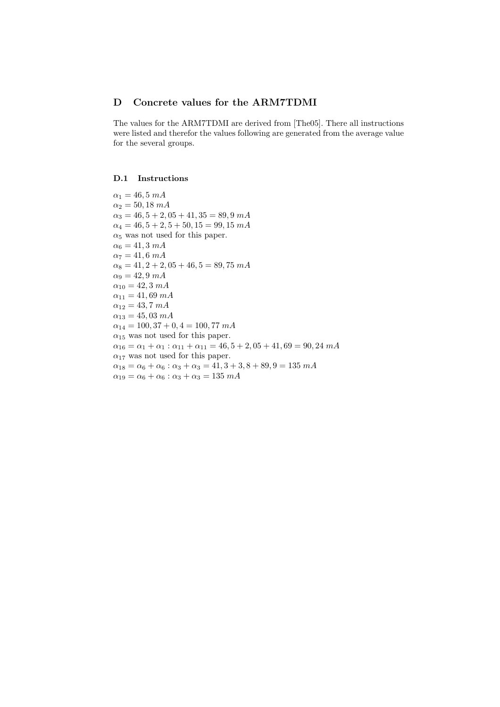## D Concrete values for the ARM7TDMI

The values for the ARM7TDMI are derived from [The05]. There all instructions were listed and therefor the values following are generated from the average value for the several groups.

## D.1 Instructions

 $\alpha_1 = 46, 5 \; mA$  $\alpha_2 = 50, 18 \; mA$  $\alpha_3 = 46, 5 + 2, 05 + 41, 35 = 89, 9 \text{ mA}$  $\alpha_4 = 46, 5 + 2, 5 + 50, 15 = 99, 15$  mA  $\alpha_5$  was not used for this paper.  $\alpha_6 = 41, 3 \; mA$  $\alpha_7 = 41, 6 \; mA$  $\alpha_8 = 41, 2 + 2, 05 + 46, 5 = 89, 75$  mA  $\alpha_9 = 42, 9, m$ A  $\alpha_{10} = 42, 3 \; mA$  $\alpha_{11} = 41,69 \; mA$  $\alpha_{12} = 43, 7 \; mA$  $\alpha_{13} = 45,03 \; mA$  $\alpha_{14} = 100, 37 + 0, 4 = 100, 77$  mA  $\alpha_{15}$  was not used for this paper.  $\alpha_{16} = \alpha_1 + \alpha_1 : \alpha_{11} + \alpha_{11} = 46, 5 + 2, 05 + 41, 69 = 90, 24$  mA  $\alpha_{17}$  was not used for this paper.  $\alpha_{18} = \alpha_6 + \alpha_6 : \alpha_3 + \alpha_3 = 41, 3 + 3, 8 + 89, 9 = 135$  mA  $\alpha_{19} = \alpha_6 + \alpha_6 : \alpha_3 + \alpha_3 = 135$  mA